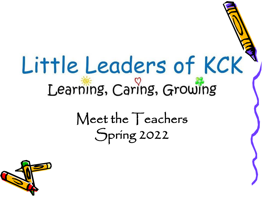# Little Leaders of KCK Learning, Caring, Growing

Meet the Teachers Spring 2022

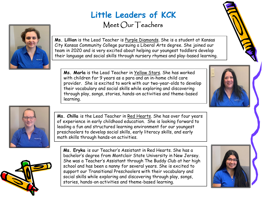#### **Little Leaders of KCK** Meet Our Teachers



**Ms. Lillian** is the Lead Teacher is Purple Diamonds. She is a student at Kansas City Kansas Community College pursuing a Liberal Arts degree. She joined our team in 2020 and is very excited about helping our youngest toddlers develop their language and social skills through nursery rhymes and play-based learning.

**Ms. Marla** is the Lead Teacher in Yellow Stars. She has worked with children for 9 years as a para and an in-home child care provider. She is excited to work with our two-year-olds to develop their vocabulary and social skills while exploring and discovering through play, songs, stories, hands-on activities and theme-based learning.



Ms. Chilla is the Lead Teacher in Red Hearts. She has over four years of experience in early childhood education. She is looking forward to leading a fun and structured learning environment for our youngest preschoolers to develop social skills, early literacy skills, and early math skills through hands-on activities.



**Ms. Eryka** is our Teacher's Assistant in Red Hearts. She has a bachelor's degree from Montclair State University in New Jersey. She was a Teacher's Assistant through The Buddy Club at her high school and has been a nanny for several years. She is excited to support our Transitional Preschoolers with their vocabulary and social skills while exploring and discovering through play, songs, stories, hands-on activities and theme-based learning.





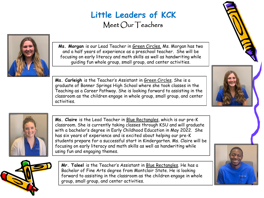## **Little Leaders of KCK**

Meet Our Teachers



**Ms. Morgan** is our Lead Teacher in Green Circles. Ms. Morgan has two and a half years of experience as a preschool teacher. She will be focusing on early literacy and math skills as well as handwriting while guiding fun whole group, small group, and center activities.

**Ms. Carleigh** is the Teacher's Assistant in Green Circles. She is a graduate of Bonner Springs High School where she took classes in the Teaching as a Career Pathway. She is looking forward to assisting in the classroom as the children engage in whole group, small group, and center activities.



**Ms. Claire** is the Lead Teacher in Blue Rectangles, which is our pre-K classroom. She is currently taking classes through KSU and will graduate with a bachelor's degree in Early Childhood Education in May 2022. She has six years of experience and is excited about helping our pre-K students prepare for a successful start in Kindergarten. Ms. Claire will be focusing on early literacy and math skills as well as handwriting while using fun and engaging themes.



**Mr. Taleel** is the Teacher's Assistant in Blue Rectangles. He has a Bachelor of Fine Arts degree from Montclair State. He is looking forward to assisting in the classroom as the children engage in whole group, small group, and center activities.

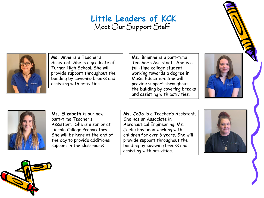#### **Little Leaders of KCK** Meet Our Support Staff



**Ms. Anna** is a Teacher's Assistant. She is a graduate of Turner High School. She will provide support throughout the building by covering breaks and assisting with activities.

**Ms. Brianna** is a part-time Teacher's Assistant. She is a full-time college student working towards a degree in Music Education. She will provide support throughout the building by covering breaks and assisting with activities.





**Ms. Elizabeth** is our new part-time Teacher's Assistant. She is a senior at Lincoln College Preparatory. She will be here at the end of the day to provide additional support in the classrooms

**Ms. JoJo** is a Teacher's Assistant. She has an Associate in Aeronautical Engineering. Ms. Joelie has been working with children for over 6 years. She will provide support throughout the building by covering breaks and assisting with activities.